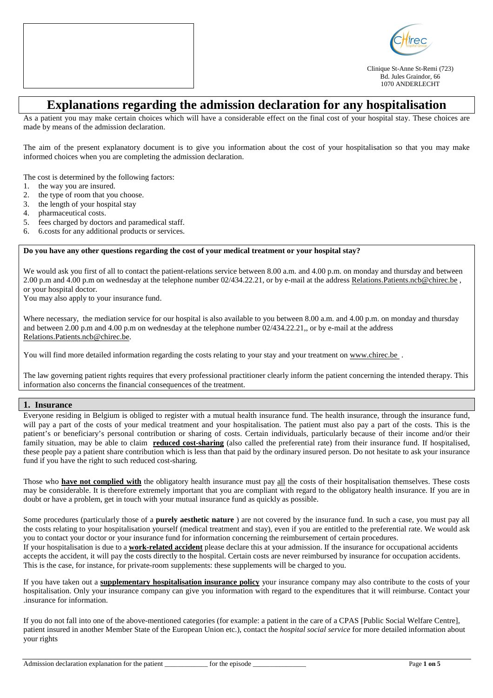



Clinique St-Anne St-Remi (723) Bd. Jules Graindor, 66 1070 ANDERLECHT

# **Explanations regarding the admission declaration for any hospitalisation**

As a patient you may make certain choices which will have a considerable effect on the final cost of your hospital stay. These choices are made by means of the admission declaration.

The aim of the present explanatory document is to give you information about the cost of your hospitalisation so that you may make informed choices when you are completing the admission declaration.

The cost is determined by the following factors:

- 1. the way you are insured.
- 2. the type of room that you choose.
- 3. the length of your hospital stay
- 4. pharmaceutical costs.
- 5. fees charged by doctors and paramedical staff.
- 6. 6.costs for any additional products or services.

#### **Do you have any other questions regarding the cost of your medical treatment or your hospital stay?**

We would ask you first of all to contact the patient-relations service between 8.00 a.m. and 4.00 p.m. on monday and thursday and between 2.00 p.m and 4.00 p.m on wednesday at the telephone number 02/434.22.21, or by e-mail at the address Relations.Patients.ncb@chirec.be , or your hospital doctor.

You may also apply to your insurance fund.

Where necessary, the mediation service for our hospital is also available to you between 8.00 a.m. and 4.00 p.m. on monday and thursday and between 2.00 p.m and 4.00 p.m on wednesday at the telephone number 02/434.22.21, or by e-mail at the address Relations.Patients.ncb@chirec.be.

You will find more detailed information regarding the costs relating to your stay and your treatment on www.chirec.be.

The law governing patient rights requires that every professional practitioner clearly inform the patient concerning the intended therapy. This information also concerns the financial consequences of the treatment.

## **1. Insurance**

Everyone residing in Belgium is obliged to register with a mutual health insurance fund. The health insurance, through the insurance fund, will pay a part of the costs of your medical treatment and your hospitalisation. The patient must also pay a part of the costs. This is the patient's or beneficiary's personal contribution or sharing of costs. Certain individuals, particularly because of their income and/or their family situation, may be able to claim reduced cost-sharing (also called the preferential rate) from their insurance fund. If hospitalised, these people pay a patient share contribution which is less than that paid by the ordinary insured person. Do not hesitate to ask your insurance fund if you have the right to such reduced cost-sharing.

Those who **have not complied with** the obligatory health insurance must pay all the costs of their hospitalisation themselves. These costs may be considerable. It is therefore extremely important that you are compliant with regard to the obligatory health insurance. If you are in doubt or have a problem, get in touch with your mutual insurance fund as quickly as possible.

Some procedures (particularly those of a **purely aesthetic nature** ) are not covered by the insurance fund. In such a case, you must pay all the costs relating to your hospitalisation yourself (medical treatment and stay), even if you are entitled to the preferential rate. We would ask you to contact your doctor or your insurance fund for information concerning the reimbursement of certain procedures. If your hospitalisation is due to a **work-related accident** please declare this at your admission. If the insurance for occupational accidents accepts the accident, it will pay the costs directly to the hospital. Certain costs are never reimbursed by insurance for occupation accidents. This is the case, for instance, for private-room supplements: these supplements will be charged to you.

If you have taken out a **supplementary hospitalisation insurance policy** your insurance company may also contribute to the costs of your hospitalisation. Only your insurance company can give you information with regard to the expenditures that it will reimburse. Contact your .insurance for information.

If you do not fall into one of the above-mentioned categories (for example: a patient in the care of a CPAS [Public Social Welfare Centre], patient insured in another Member State of the European Union etc.), contact the *hospital social service* for more detailed information about your rights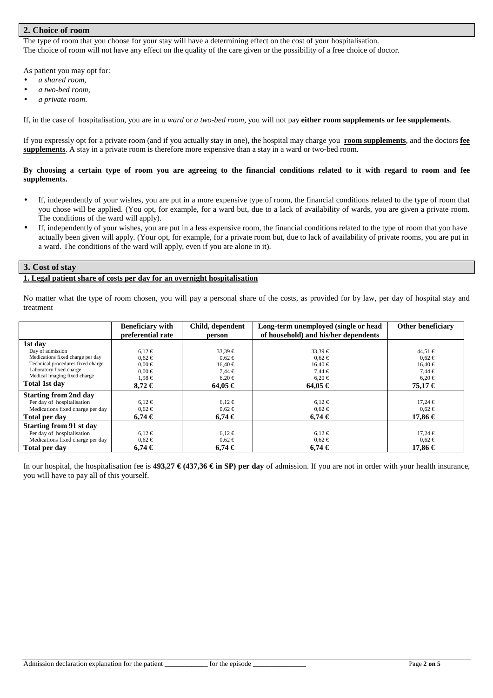# **2. Choice of room**

The type of room that you choose for your stay will have a determining effect on the cost of your hospitalisation. The choice of room will not have any effect on the quality of the care given or the possibility of a free choice of doctor.

As patient you may opt for:

- *a shared room,*
- *a two-bed room,*
- *a private room*.

If, in the case of hospitalisation, you are in *a ward* or *a two-bed room*, you will not pay **either room supplements or fee supplements**.

If you expressly opt for a private room (and if you actually stay in one), the hospital may charge you **room supplements**, and the doctors **fee supplements**. A stay in a private room is therefore more expensive than a stay in a ward or two-bed room.

#### **By choosing a certain type of room you are agreeing to the financial conditions related to it with regard to room and fee supplements.**

- If, independently of your wishes, you are put in a more expensive type of room, the financial conditions related to the type of room that you chose will be applied. (You opt, for example, for a ward but, due to a lack of availability of wards, you are given a private room. The conditions of the ward will apply).
- If, independently of your wishes, you are put in a less expensive room, the financial conditions related to the type of room that you have actually been given will apply. (Your opt, for example, for a private room but, due to lack of availability of private rooms, you are put in a ward. The conditions of the ward will apply, even if you are alone in it).

#### **3. Cost of stay**

#### **1. Legal patient share of costs per day for an overnight hospitalisation**

No matter what the type of room chosen, you will pay a personal share of the costs, as provided for by law, per day of hospital stay and treatment

|                                   | <b>Beneficiary with</b> | Child, dependent | Long-term unemployed (single or head | Other beneficiary |
|-----------------------------------|-------------------------|------------------|--------------------------------------|-------------------|
|                                   | preferential rate       | person           | of household) and his/her dependents |                   |
| 1st day                           |                         |                  |                                      |                   |
| Day of admission                  | $6.12 \in$              | $33,39 \in$      | $33,39 \in$                          | $44,51 \in$       |
| Medications fixed charge per day  | $0.62 \in$              | $0.62 \in$       | $0.62 \in$                           | $0.62 \in$        |
| Technical procedures fixed charge | $0.00 \in$              | $16.40 \in$      | $16.40 \in$                          | $16,40 \in$       |
| Laboratory fixed charge           | $0.00 \in$              | $7.44 \in$       | $7.44 \in$                           | $7.44 \in$        |
| Medical imaging fixed charge      | $1,98 \in$              | $6,20 \in$       | $6.20 \in$                           | $6,20 \in$        |
| Total 1st day                     | $8.72 \in$              | $64.05 \in$      | $64.05 \in$                          | 75.17 €           |
| <b>Starting from 2nd day</b>      |                         |                  |                                      |                   |
| Per day of hospitalisation        | $6.12 \in$              | $6,12 \in$       | $6,12 \in$                           | $17,24 \in$       |
| Medications fixed charge per day  | $0.62 \in$              | $0.62 \in$       | $0.62 \in$                           | $0.62 \in$        |
| Total per day                     | $6.74 \in$              | $6.74 \in$       | $6.74 \in$                           | 17,86 €           |
| <b>Starting from 91 st day</b>    |                         |                  |                                      |                   |
| Per day of hospitalisation        | $6.12 \in$              | $6,12 \in$       | $6,12 \in$                           | $17.24 \in$       |
| Medications fixed charge per day  | $0.62 \in$              | $0.62 \in$       | $0.62 \in$                           | $0.62 \in$        |
| Total per day                     | 6.74€                   | 6.74€            | $6.74 \in$                           | 17,86 €           |

In our hospital, the hospitalisation fee is **493,27**  $\in$  **(437,36**  $\in$  **in SP) per day** of admission. If you are not in order with your health insurance, you will have to pay all of this yourself.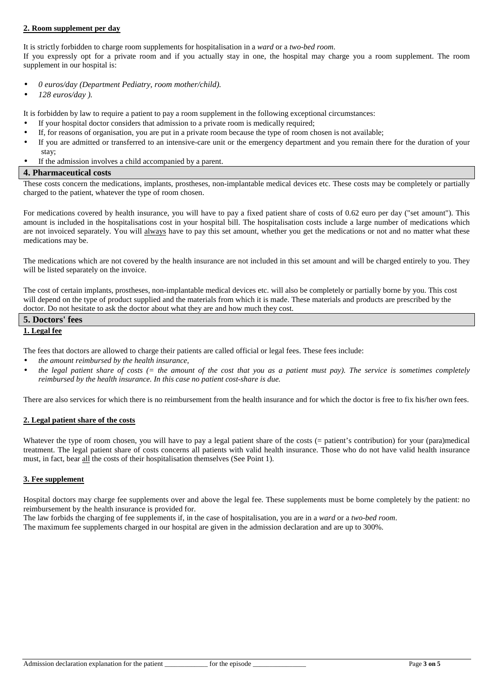## **2. Room supplement per day**

It is strictly forbidden to charge room supplements for hospitalisation in a *ward* or a *two-bed room*. If you expressly opt for a private room and if you actually stay in one, the hospital may charge you a room supplement. The room supplement in our hospital is:

- *0 euros/day (Department Pediatry, room mother/child).*
- *128 euros/day ).*

It is forbidden by law to require a patient to pay a room supplement in the following exceptional circumstances:

- If your hospital doctor considers that admission to a private room is medically required;
- If, for reasons of organisation, you are put in a private room because the type of room chosen is not available;
- If you are admitted or transferred to an intensive-care unit or the emergency department and you remain there for the duration of your stay;
- If the admission involves a child accompanied by a parent.

#### **4. Pharmaceutical costs**

These costs concern the medications, implants, prostheses, non-implantable medical devices etc. These costs may be completely or partially charged to the patient, whatever the type of room chosen.

For medications covered by health insurance, you will have to pay a fixed patient share of costs of 0.62 euro per day ("set amount"). This amount is included in the hospitalisations cost in your hospital bill. The hospitalisation costs include a large number of medications which are not invoiced separately. You will always have to pay this set amount, whether you get the medications or not and no matter what these medications may be.

The medications which are not covered by the health insurance are not included in this set amount and will be charged entirely to you. They will be listed separately on the invoice.

The cost of certain implants, prostheses, non-implantable medical devices etc. will also be completely or partially borne by you. This cost will depend on the type of product supplied and the materials from which it is made. These materials and products are prescribed by the doctor. Do not hesitate to ask the doctor about what they are and how much they cost.

| 5. Doctors'<br>' fees |  |
|-----------------------|--|
| 1. Legal fee          |  |

The fees that doctors are allowed to charge their patients are called official or legal fees. These fees include:

- *the amount reimbursed by the health insurance,*
- *the legal patient share of costs (= the amount of the cost that you as a patient must pay). The service is sometimes completely reimbursed by the health insurance. In this case no patient cost-share is due.*

There are also services for which there is no reimbursement from the health insurance and for which the doctor is free to fix his/her own fees.

## **2. Legal patient share of the costs**

Whatever the type of room chosen, you will have to pay a legal patient share of the costs (= patient's contribution) for your (para)medical treatment. The legal patient share of costs concerns all patients with valid health insurance. Those who do not have valid health insurance must, in fact, bear all the costs of their hospitalisation themselves (See Point 1).

## **3. Fee supplement**

Hospital doctors may charge fee supplements over and above the legal fee. These supplements must be borne completely by the patient: no reimbursement by the health insurance is provided for.

The law forbids the charging of fee supplements if, in the case of hospitalisation, you are in a *ward* or a *two-bed room*.

The maximum fee supplements charged in our hospital are given in the admission declaration and are up to 300%.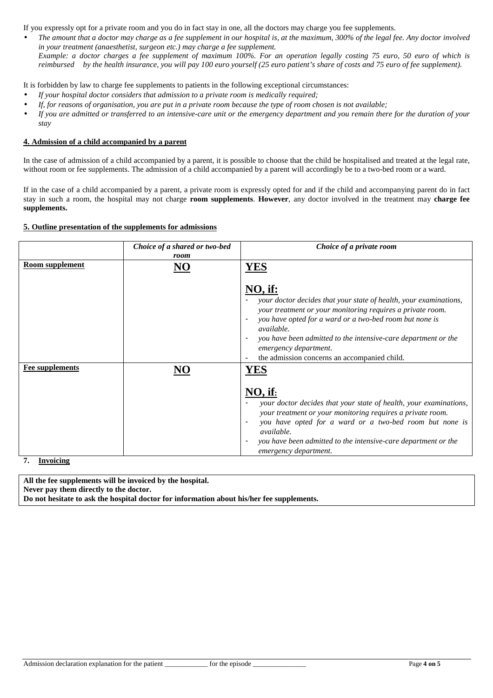If you expressly opt for a private room and you do in fact stay in one, all the doctors may charge you fee supplements.

• *The amount that a doctor may charge as a fee supplement in our hospital is, at the maximum, 300% of the legal fee. Any doctor involved in your treatment (anaesthetist, surgeon etc.) may charge a fee supplement. Example: a doctor charges a fee supplement of maximum 100%. For an operation legally costing 75 euro, 50 euro of which is reimbursed by the health insurance, you will pay 100 euro yourself (25 euro patient's share of costs and 75 euro of fee supplement).* 

It is forbidden by law to charge fee supplements to patients in the following exceptional circumstances:

- *If your hospital doctor considers that admission to a private room is medically required;*
- *If, for reasons of organisation, you are put in a private room because the type of room chosen is not available;*
- *If you are admitted or transferred to an intensive-care unit or the emergency department and you remain there for the duration of your stay*

# **4. Admission of a child accompanied by a parent**

In the case of admission of a child accompanied by a parent, it is possible to choose that the child be hospitalised and treated at the legal rate, without room or fee supplements. The admission of a child accompanied by a parent will accordingly be to a two-bed room or a ward.

If in the case of a child accompanied by a parent, a private room is expressly opted for and if the child and accompanying parent do in fact stay in such a room, the hospital may not charge **room supplements**. **However**, any doctor involved in the treatment may **charge fee supplements.** 

## **5. Outline presentation of the supplements for admissions**

|                                            | Choice of a shared or two-bed<br>room | Choice of a private room                                                                                                                                                                                                                                                                                                                                                                                          |
|--------------------------------------------|---------------------------------------|-------------------------------------------------------------------------------------------------------------------------------------------------------------------------------------------------------------------------------------------------------------------------------------------------------------------------------------------------------------------------------------------------------------------|
| <b>Room supplement</b>                     | NO                                    | <b>YES</b><br>$NO,$ if:<br>your doctor decides that your state of health, your examinations,<br>your treatment or your monitoring requires a private room.<br>you have opted for a ward or a two-bed room but none is<br>$\overline{\phantom{a}}$<br><i>available.</i><br>you have been admitted to the intensive-care department or the<br>emergency department.<br>the admission concerns an accompanied child. |
| <b>Fee supplements</b><br><b>Invoicing</b> |                                       | $NO,$ if:<br>your doctor decides that your state of health, your examinations,<br>your treatment or your monitoring requires a private room.<br>you have opted for a ward or a two-bed room but none is<br>available.<br>you have been admitted to the intensive-care department or the<br>$\overline{\phantom{a}}$<br>emergency department.                                                                      |

**7. Invoicing** 

**All the fee supplements will be invoiced by the hospital. Never pay them directly to the doctor. Do not hesitate to ask the hospital doctor for information about his/her fee supplements.**